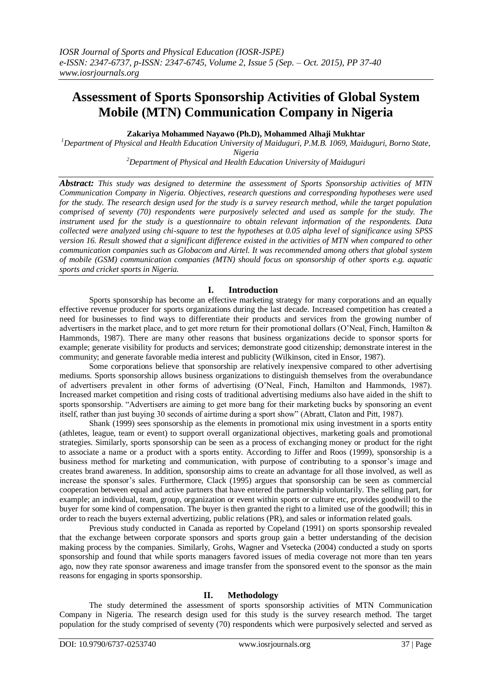# **Assessment of Sports Sponsorship Activities of Global System Mobile (MTN) Communication Company in Nigeria**

**Zakariya Mohammed Nayawo (Ph.D), Mohammed Alhaji Mukhtar**

*<sup>1</sup>Department of Physical and Health Education University of Maiduguri, P.M.B. 1069, Maiduguri, Borno State, Nigeria <sup>2</sup>Department of Physical and Health Education University of Maiduguri*

*Abstract: This study was designed to determine the assessment of Sports Sponsorship activities of MTN Communication Company in Nigeria. Objectives, research questions and corresponding hypotheses were used for the study. The research design used for the study is a survey research method, while the target population comprised of seventy (70) respondents were purposively selected and used as sample for the study. The instrument used for the study is a questionnaire to obtain relevant information of the respondents. Data collected were analyzed using chi-square to test the hypotheses at 0.05 alpha level of significance using SPSS version 16. Result showed that a significant difference existed in the activities of MTN when compared to other communication companies such as Globacom and Airtel. It was recommended among others that global system of mobile (GSM) communication companies (MTN) should focus on sponsorship of other sports e.g. aquatic sports and cricket sports in Nigeria.*

## **I. Introduction**

 Sports sponsorship has become an effective marketing strategy for many corporations and an equally effective revenue producer for sports organizations during the last decade. Increased competition has created a need for businesses to find ways to differentiate their products and services from the growing number of advertisers in the market place, and to get more return for their promotional dollars (O'Neal, Finch, Hamilton & Hammonds, 1987). There are many other reasons that business organizations decide to sponsor sports for example; generate visibility for products and services; demonstrate good citizenship; demonstrate interest in the community; and generate favorable media interest and publicity (Wilkinson, cited in Ensor, 1987).

 Some corporations believe that sponsorship are relatively inexpensive compared to other advertising mediums. Sports sponsorship allows business organizations to distinguish themselves from the overabundance of advertisers prevalent in other forms of advertising (O'Neal, Finch, Hamilton and Hammonds, 1987). Increased market competition and rising costs of traditional advertising mediums also have aided in the shift to sports sponsorship. "Advertisers are aiming to get more bang for their marketing bucks by sponsoring an event itself, rather than just buying 30 seconds of airtime during a sport show" (Abratt, Claton and Pitt, 1987).

 Shank (1999) sees sponsorship as the elements in promotional mix using investment in a sports entity (athletes, league, team or event) to support overall organizational objectives, marketing goals and promotional strategies. Similarly, sports sponsorship can be seen as a process of exchanging money or product for the right to associate a name or a product with a sports entity. According to Jiffer and Roos (1999), sponsorship is a business method for marketing and communication, with purpose of contributing to a sponsor's image and creates brand awareness. In addition, sponsorship aims to create an advantage for all those involved, as well as increase the sponsor's sales. Furthermore, Clack (1995) argues that sponsorship can be seen as commercial cooperation between equal and active partners that have entered the partnership voluntarily. The selling part, for example; an individual, team, group, organization or event within sports or culture etc, provides goodwill to the buyer for some kind of compensation. The buyer is then granted the right to a limited use of the goodwill; this in order to reach the buyers external advertizing, public relations (PR), and sales or information related goals.

 Previous study conducted in Canada as reported by Copeland (1991) on sports sponsorship revealed that the exchange between corporate sponsors and sports group gain a better understanding of the decision making process by the companies. Similarly, Grohs, Wagner and Vsetecka (2004) conducted a study on sports sponsorship and found that while sports managers favored issues of media coverage not more than ten years ago, now they rate sponsor awareness and image transfer from the sponsored event to the sponsor as the main reasons for engaging in sports sponsorship.

## **II. Methodology**

 The study determined the assessment of sports sponsorship activities of MTN Communication Company in Nigeria. The research design used for this study is the survey research method. The target population for the study comprised of seventy (70) respondents which were purposively selected and served as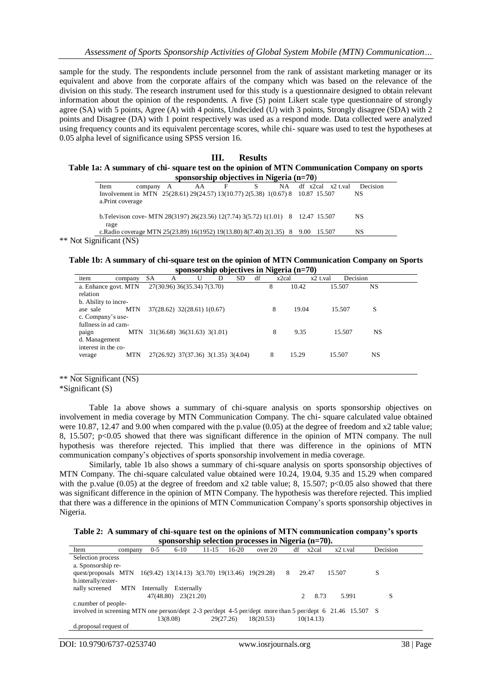sample for the study. The respondents include personnel from the rank of assistant marketing manager or its equivalent and above from the corporate affairs of the company which was based on the relevance of the division on this study. The research instrument used for this study is a questionnaire designed to obtain relevant information about the opinion of the respondents. A five (5) point Likert scale type questionnaire of strongly agree (SA) with 5 points, Agree (A) with 4 points, Undecided (U) with 3 points, Strongly disagree (SDA) with 2 points and Disagree (DA) with 1 point respectively was used as a respond mode. Data collected were analyzed using frequency counts and its equivalent percentage scores, while chi- square was used to test the hypotheses at 0.05 alpha level of significance using SPSS version 16.

| <b>Results</b>                                                                               |
|----------------------------------------------------------------------------------------------|
| Table 1a: A summary of chi-square test on the opinion of MTN Communication Company on sports |
| sponsorship objectives in Nigeria $(n=70)$                                                   |

| $\frac{1}{2}$ spolisoi silip objectives ili Tylgel la $\left($ li- $\frac{1}{2}$                     |         |   |    |   |  |    |      |                     |          |
|------------------------------------------------------------------------------------------------------|---------|---|----|---|--|----|------|---------------------|----------|
| Item                                                                                                 | company | A | AA | F |  | NA |      | $df$ x2cal x2 t.val | Decision |
| Involvement in MTN 25(28.61) 29(24.57) 13(10.77) 2(5.38) 1(0.67) 8 10.87 15.507<br>a. Print coverage |         |   |    |   |  |    |      |                     | NS       |
| b. Televison cove-MTN 28(3197) 26(23.56) 12(7.74) 3(5.72) 1(1.01) 8 12.47 15.507<br>rage             |         |   |    |   |  |    |      |                     | NS       |
| c. Radio coverage MTN 25(23.89) 16(1952) 19(13.80) 8(7.40) 2(1.35) 8                                 |         |   |    |   |  |    | 9.00 | 15.507              | NS       |
| ** Not Significant (NS)                                                                              |         |   |    |   |  |    |      |                     |          |

| Table 1b: A summary of chi-square test on the opinion of MTN Communication Company on Sports |  |
|----------------------------------------------------------------------------------------------|--|
| sponsorship objectives in Nigeria $(n=70)$                                                   |  |

|                                                       |            |           |                                     |   | ⊸., |    | - -   |       |          |                     |  |
|-------------------------------------------------------|------------|-----------|-------------------------------------|---|-----|----|-------|-------|----------|---------------------|--|
| item                                                  | company    | <b>SA</b> |                                     | D | SD  | df | x2cal |       | x2 t.val | Decision            |  |
| a. Enhance govt. MTN<br>relation                      |            |           | 27(30.96) 36(35.34) 7(3.70)         |   |     |    | 8     | 10.42 | 15.507   | NS                  |  |
| b. Ability to incre-<br>ase sale<br>c. Company's use- | <b>MTN</b> |           | 37(28.62) 32(28.61) 1(0.67)         |   |     |    | 8     | 19.04 | 15.507   | S                   |  |
| fullness in ad cam-<br>paign<br>d. Management         | MTN        |           | 31(36.68) 36(31.63) 3(1.01)         |   |     |    | 8     | 9.35  |          | <b>NS</b><br>15.507 |  |
| interest in the co-<br>verage                         | MTN        |           | 27(26.92) 37(37.36) 3(1.35) 3(4.04) |   |     |    | 8     | 15.29 | 15.507   | NS                  |  |

\*\* Not Significant (NS)

\*Significant (S)

Table 1a above shows a summary of chi-square analysis on sports sponsorship objectives on involvement in media coverage by MTN Communication Company. The chi- square calculated value obtained were 10.87, 12.47 and 9.00 when compared with the p.value (0.05) at the degree of freedom and x2 table value; 8, 15.507; p<0.05 showed that there was significant difference in the opinion of MTN company. The null hypothesis was therefore rejected. This implied that there was difference in the opinions of MTN communication company's objectives of sports sponsorship involvement in media coverage.

 Similarly, table 1b also shows a summary of chi-square analysis on sports sponsorship objectives of MTN Company. The chi-square calculated value obtained were 10.24, 19.04, 9.35 and 15.29 when compared with the p.value (0.05) at the degree of freedom and x2 table value; 8, 15.507; p<0.05 also showed that there was significant difference in the opinion of MTN Company. The hypothesis was therefore rejected. This implied that there was a difference in the opinions of MTN Communication Company's sports sponsorship objectives in Nigeria.

| Table 2: A summary of chi-square test on the opinions of MTN communication company's sports |  |  |
|---------------------------------------------------------------------------------------------|--|--|
| sponsorship selection processes in Nigeria $(n=70)$ .                                       |  |  |

| Item                                                                                                      | company | $0 - 5$   | $6 - 10$              | $11 - 15$ | $16 - 20$ | over 20   | $\sim$<br>df | x2cal     | x2 t.val | Decision |  |
|-----------------------------------------------------------------------------------------------------------|---------|-----------|-----------------------|-----------|-----------|-----------|--------------|-----------|----------|----------|--|
| Selection process                                                                                         |         |           |                       |           |           |           |              |           |          |          |  |
| a. Sponsorship re-                                                                                        |         |           |                       |           |           |           |              |           |          |          |  |
| quest/proposals MTN 16(9.42) 13(14.13) 3(3.70) 19(13.46) 19(29.28)                                        |         |           |                       |           |           |           | 29.47<br>8   |           | 15.507   | S        |  |
| b.interally/exter-                                                                                        |         |           |                       |           |           |           |              |           |          |          |  |
| nally screened                                                                                            | MTN     |           | Internally Externally |           |           |           |              |           |          |          |  |
|                                                                                                           |         | 47(48.80) | 23(21.20)             |           |           |           |              | 8.73      | 5.991    | S        |  |
| c.number of people-                                                                                       |         |           |                       |           |           |           |              |           |          |          |  |
| involved in screening MTN one person/dept 2-3 per/dept 4-5 per/dept more than 5 per/dept 6 21.46 15.507 S |         |           |                       |           |           |           |              |           |          |          |  |
|                                                                                                           |         |           | 13(8.08)              |           | 29(27.26) | 18(20.53) |              | 10(14.13) |          |          |  |
| d.proposal request of                                                                                     |         |           |                       |           |           |           |              |           |          |          |  |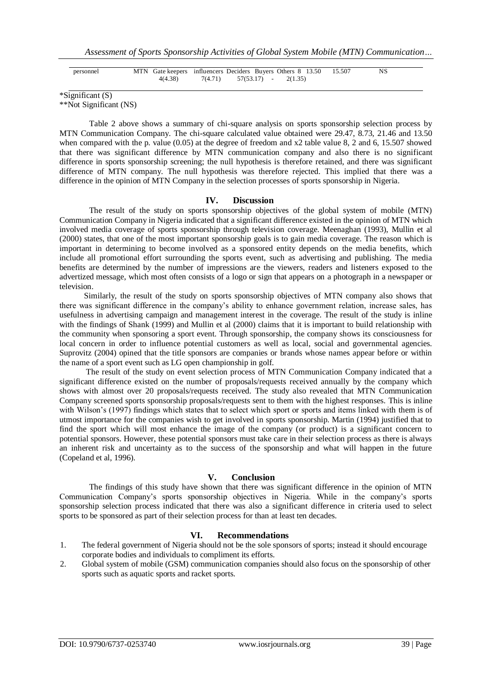| personnel | MTN Gate keepers influencers Deciders Buyers Others 8 13.50 15.507 | NS. |
|-----------|--------------------------------------------------------------------|-----|
|           | $4(4.38)$ $7(4.71)$ $57(53.17)$ $ 2(1.35)$                         |     |

\*Significant (S)

\*\*Not Significant (NS)

Table 2 above shows a summary of chi-square analysis on sports sponsorship selection process by MTN Communication Company. The chi-square calculated value obtained were 29.47, 8.73, 21.46 and 13.50 when compared with the p. value (0.05) at the degree of freedom and x2 table value 8, 2 and 6, 15.507 showed that there was significant difference by MTN communication company and also there is no significant difference in sports sponsorship screening; the null hypothesis is therefore retained, and there was significant difference of MTN company. The null hypothesis was therefore rejected. This implied that there was a difference in the opinion of MTN Company in the selection processes of sports sponsorship in Nigeria.

#### **IV. Discussion**

 The result of the study on sports sponsorship objectives of the global system of mobile (MTN) Communication Company in Nigeria indicated that a significant difference existed in the opinion of MTN which involved media coverage of sports sponsorship through television coverage. Meenaghan (1993), Mullin et al (2000) states, that one of the most important sponsorship goals is to gain media coverage. The reason which is important in determining to become involved as a sponsored entity depends on the media benefits, which include all promotional effort surrounding the sports event, such as advertising and publishing. The media benefits are determined by the number of impressions are the viewers, readers and listeners exposed to the advertized message, which most often consists of a logo or sign that appears on a photograph in a newspaper or television.

 Similarly, the result of the study on sports sponsorship objectives of MTN company also shows that there was significant difference in the company's ability to enhance government relation, increase sales, has usefulness in advertising campaign and management interest in the coverage. The result of the study is inline with the findings of Shank (1999) and Mullin et al (2000) claims that it is important to build relationship with the community when sponsoring a sport event. Through sponsorship, the company shows its consciousness for local concern in order to influence potential customers as well as local, social and governmental agencies. Suprovitz (2004) opined that the title sponsors are companies or brands whose names appear before or within the name of a sport event such as LG open championship in golf.

 The result of the study on event selection process of MTN Communication Company indicated that a significant difference existed on the number of proposals/requests received annually by the company which shows with almost over 20 proposals/requests received. The study also revealed that MTN Communication Company screened sports sponsorship proposals/requests sent to them with the highest responses. This is inline with Wilson's (1997) findings which states that to select which sport or sports and items linked with them is of utmost importance for the companies wish to get involved in sports sponsorship. Martin (1994) justified that to find the sport which will most enhance the image of the company (or product) is a significant concern to potential sponsors. However, these potential sponsors must take care in their selection process as there is always an inherent risk and uncertainty as to the success of the sponsorship and what will happen in the future (Copeland et al, 1996).

### **V. Conclusion**

 The findings of this study have shown that there was significant difference in the opinion of MTN Communication Company's sports sponsorship objectives in Nigeria. While in the company's sports sponsorship selection process indicated that there was also a significant difference in criteria used to select sports to be sponsored as part of their selection process for than at least ten decades.

#### **VI. Recommendations**

- 1. The federal government of Nigeria should not be the sole sponsors of sports; instead it should encourage corporate bodies and individuals to compliment its efforts.
- 2. Global system of mobile (GSM) communication companies should also focus on the sponsorship of other sports such as aquatic sports and racket sports.